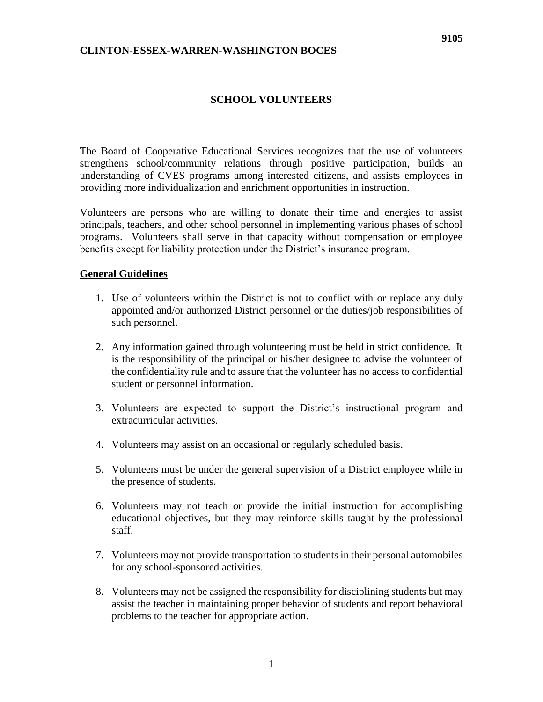## **SCHOOL VOLUNTEERS**

The Board of Cooperative Educational Services recognizes that the use of volunteers strengthens school/community relations through positive participation, builds an understanding of CVES programs among interested citizens, and assists employees in providing more individualization and enrichment opportunities in instruction.

Volunteers are persons who are willing to donate their time and energies to assist principals, teachers, and other school personnel in implementing various phases of school programs. Volunteers shall serve in that capacity without compensation or employee benefits except for liability protection under the District's insurance program.

## **General Guidelines**

- 1. Use of volunteers within the District is not to conflict with or replace any duly appointed and/or authorized District personnel or the duties/job responsibilities of such personnel.
- 2. Any information gained through volunteering must be held in strict confidence. It is the responsibility of the principal or his/her designee to advise the volunteer of the confidentiality rule and to assure that the volunteer has no access to confidential student or personnel information.
- 3. Volunteers are expected to support the District's instructional program and extracurricular activities.
- 4. Volunteers may assist on an occasional or regularly scheduled basis.
- 5. Volunteers must be under the general supervision of a District employee while in the presence of students.
- 6. Volunteers may not teach or provide the initial instruction for accomplishing educational objectives, but they may reinforce skills taught by the professional staff.
- 7. Volunteers may not provide transportation to students in their personal automobiles for any school-sponsored activities.
- 8. Volunteers may not be assigned the responsibility for disciplining students but may assist the teacher in maintaining proper behavior of students and report behavioral problems to the teacher for appropriate action.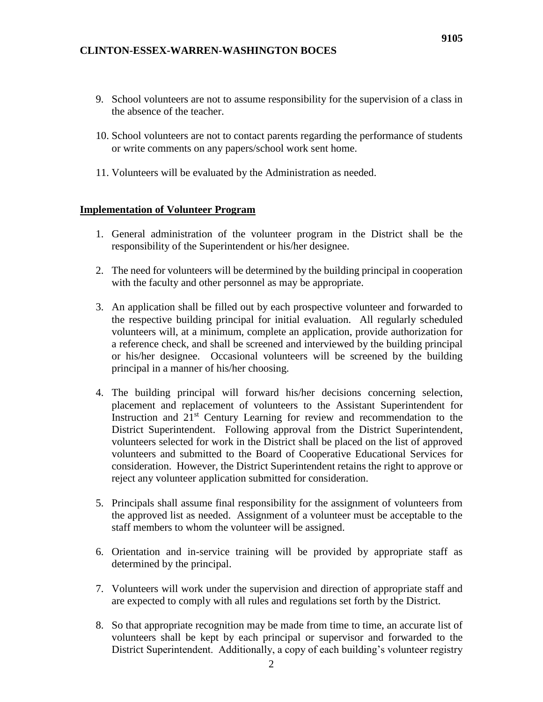- 9. School volunteers are not to assume responsibility for the supervision of a class in the absence of the teacher.
- 10. School volunteers are not to contact parents regarding the performance of students or write comments on any papers/school work sent home.
- 11. Volunteers will be evaluated by the Administration as needed.

## **Implementation of Volunteer Program**

- 1. General administration of the volunteer program in the District shall be the responsibility of the Superintendent or his/her designee.
- 2. The need for volunteers will be determined by the building principal in cooperation with the faculty and other personnel as may be appropriate.
- 3. An application shall be filled out by each prospective volunteer and forwarded to the respective building principal for initial evaluation. All regularly scheduled volunteers will, at a minimum, complete an application, provide authorization for a reference check, and shall be screened and interviewed by the building principal or his/her designee. Occasional volunteers will be screened by the building principal in a manner of his/her choosing.
- 4. The building principal will forward his/her decisions concerning selection, placement and replacement of volunteers to the Assistant Superintendent for Instruction and  $21<sup>st</sup>$  Century Learning for review and recommendation to the District Superintendent. Following approval from the District Superintendent, volunteers selected for work in the District shall be placed on the list of approved volunteers and submitted to the Board of Cooperative Educational Services for consideration. However, the District Superintendent retains the right to approve or reject any volunteer application submitted for consideration.
- 5. Principals shall assume final responsibility for the assignment of volunteers from the approved list as needed. Assignment of a volunteer must be acceptable to the staff members to whom the volunteer will be assigned.
- 6. Orientation and in-service training will be provided by appropriate staff as determined by the principal.
- 7. Volunteers will work under the supervision and direction of appropriate staff and are expected to comply with all rules and regulations set forth by the District.
- 8. So that appropriate recognition may be made from time to time, an accurate list of volunteers shall be kept by each principal or supervisor and forwarded to the District Superintendent. Additionally, a copy of each building's volunteer registry